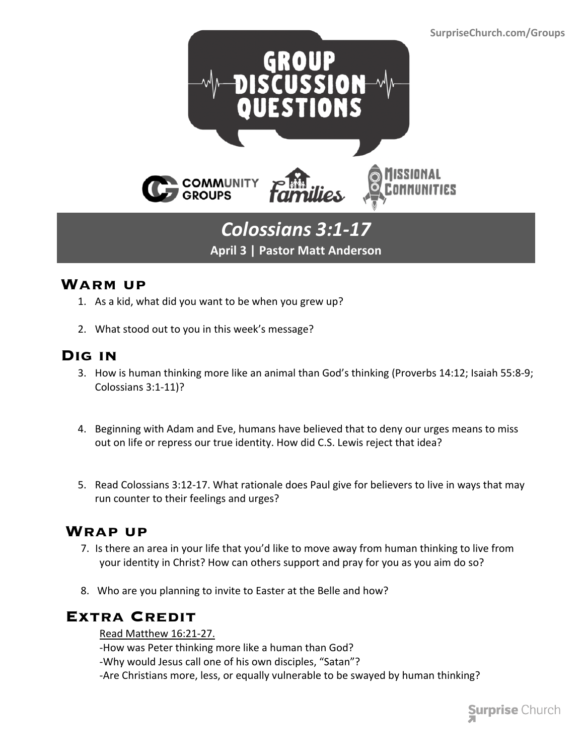

## *Colossians 3:1-17* **April 3 | Pastor Matt Anderson**

### **Warm up**

- 1. As a kid, what did you want to be when you grew up?
- 2. What stood out to you in this week's message?

### **Dig in**

- 3. How is human thinking more like an animal than God's thinking (Proverbs 14:12; Isaiah 55:8-9; Colossians 3:1-11)?
- 4. Beginning with Adam and Eve, humans have believed that to deny our urges means to miss out on life or repress our true identity. How did C.S. Lewis reject that idea?
- 5. Read Colossians 3:12-17. What rationale does Paul give for believers to live in ways that may run counter to their feelings and urges?

### **Wrap up**

- 7. Is there an area in your life that you'd like to move away from human thinking to live from your identity in Christ? How can others support and pray for you as you aim do so?
- 8. Who are you planning to invite to Easter at the Belle and how?

### **Extra Credit**

Read Matthew 16:21-27.

-How was Peter thinking more like a human than God?

-Why would Jesus call one of his own disciples, "Satan"?

-Are Christians more, less, or equally vulnerable to be swayed by human thinking?